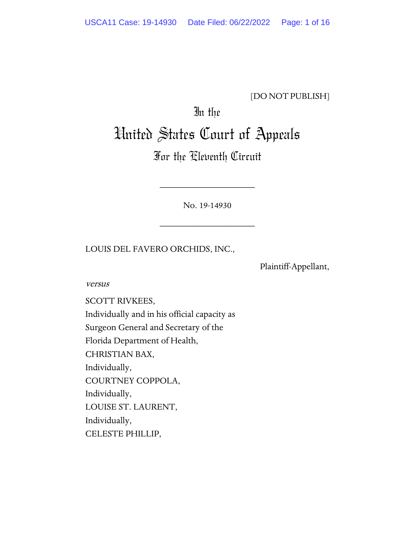### [DO NOT PUBLISH]

## In the

# United States Court of Appeals

### For the Eleventh Circuit

No. 19-14930

\_\_\_\_\_\_\_\_\_\_\_\_\_\_\_\_\_\_\_\_

\_\_\_\_\_\_\_\_\_\_\_\_\_\_\_\_\_\_\_\_

LOUIS DEL FAVERO ORCHIDS, INC.,

Plaintiff-Appellant,

versus

SCOTT RIVKEES, Individually and in his official capacity as Surgeon General and Secretary of the Florida Department of Health, CHRISTIAN BAX, Individually, COURTNEY COPPOLA, Individually, LOUISE ST. LAURENT, Individually, CELESTE PHILLIP,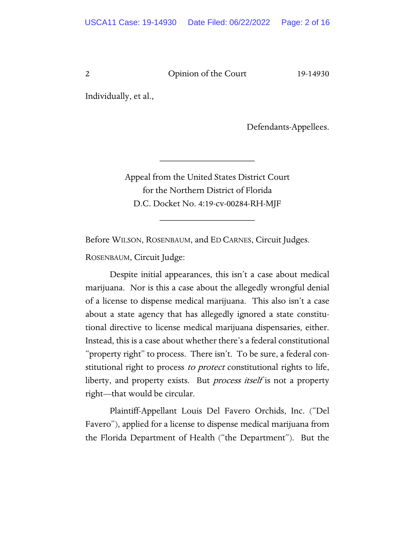Individually, et al.,

Defendants-Appellees.

Appeal from the United States District Court for the Northern District of Florida D.C. Docket No. 4:19-cv-00284-RH-MJF

\_\_\_\_\_\_\_\_\_\_\_\_\_\_\_\_\_\_\_\_

\_\_\_\_\_\_\_\_\_\_\_\_\_\_\_\_\_\_\_\_

Before WILSON, ROSENBAUM, and ED CARNES, Circuit Judges.

ROSENBAUM, Circuit Judge:

Despite initial appearances, this isn't a case about medical marijuana. Nor is this a case about the allegedly wrongful denial of a license to dispense medical marijuana. This also isn't a case about a state agency that has allegedly ignored a state constitutional directive to license medical marijuana dispensaries, either. Instead, this is a case about whether there's a federal constitutional "property right" to process. There isn't. To be sure, a federal constitutional right to process *to protect* constitutional rights to life, liberty, and property exists. But *process itself* is not a property right—that would be circular.

Plaintiff-Appellant Louis Del Favero Orchids, Inc. ("Del Favero"), applied for a license to dispense medical marijuana from the Florida Department of Health ("the Department"). But the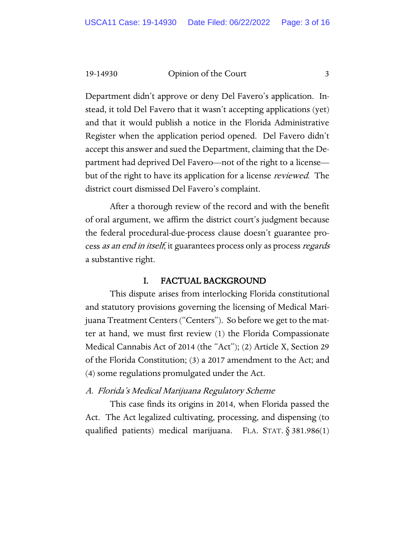Department didn't approve or deny Del Favero's application. Instead, it told Del Favero that it wasn't accepting applications (yet) and that it would publish a notice in the Florida Administrative Register when the application period opened. Del Favero didn't accept this answer and sued the Department, claiming that the Department had deprived Del Favero—not of the right to a license but of the right to have its application for a license *reviewed*. The district court dismissed Del Favero's complaint.

After a thorough review of the record and with the benefit of oral argument, we affirm the district court's judgment because the federal procedural-due-process clause doesn't guarantee process *as an end in itself*; it guarantees process only as process *regards* a substantive right.

#### I. FACTUAL BACKGROUND

This dispute arises from interlocking Florida constitutional and statutory provisions governing the licensing of Medical Marijuana Treatment Centers ("Centers"). So before we get to the matter at hand, we must first review (1) the Florida Compassionate Medical Cannabis Act of 2014 (the "Act"); (2) Article X, Section 29 of the Florida Constitution; (3) a 2017 amendment to the Act; and (4) some regulations promulgated under the Act.

#### A. Florida's Medical Marijuana Regulatory Scheme

This case finds its origins in 2014, when Florida passed the Act. The Act legalized cultivating, processing, and dispensing (to qualified patients) medical marijuana. FLA. STAT.  $\S 381.986(1)$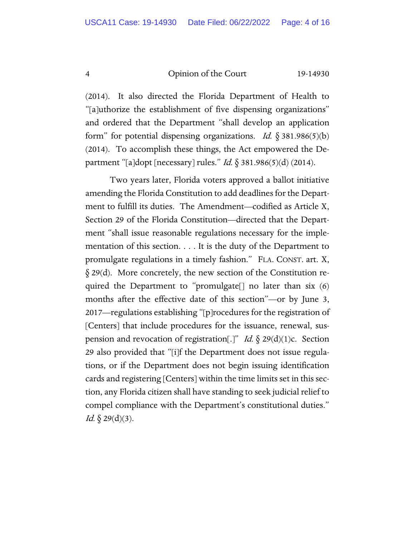(2014). It also directed the Florida Department of Health to "[a]uthorize the establishment of five dispensing organizations" and ordered that the Department "shall develop an application form" for potential dispensing organizations. Id.  $\S 381.986(5)(b)$ (2014). To accomplish these things, the Act empowered the Department "[a]dopt [necessary] rules." Id. § 381.986(5)(d) (2014).

Two years later, Florida voters approved a ballot initiative amending the Florida Constitution to add deadlines for the Department to fulfill its duties. The Amendment—codified as Article X, Section 29 of the Florida Constitution—directed that the Department "shall issue reasonable regulations necessary for the implementation of this section. . . . It is the duty of the Department to promulgate regulations in a timely fashion." FLA. CONST. art. X, § 29(d). More concretely, the new section of the Constitution required the Department to "promulgate[] no later than six (6) months after the effective date of this section"—or by June 3, 2017—regulations establishing "[p]rocedures for the registration of [Centers] that include procedures for the issuance, renewal, suspension and revocation of registration[.]" Id.  $\S 29(d)(1)c$ . Section 29 also provided that "[i]f the Department does not issue regulations, or if the Department does not begin issuing identification cards and registering [Centers] within the time limits set in this section, any Florida citizen shall have standing to seek judicial relief to compel compliance with the Department's constitutional duties." *Id.*  $\oint$  29(d)(3).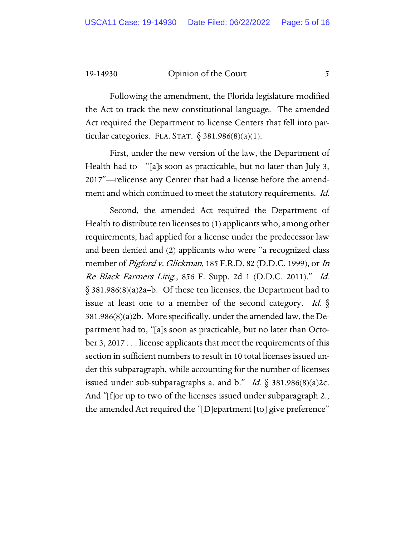Following the amendment, the Florida legislature modified the Act to track the new constitutional language. The amended Act required the Department to license Centers that fell into particular categories. FLA. STAT.  $\S$  381.986(8)(a)(1).

First, under the new version of the law, the Department of Health had to—"[a]s soon as practicable, but no later than July 3, 2017"—relicense any Center that had a license before the amendment and which continued to meet the statutory requirements. *Id.* 

Second, the amended Act required the Department of Health to distribute ten licenses to (1) applicants who, among other requirements, had applied for a license under the predecessor law and been denied and (2) applicants who were "a recognized class member of *Pigford v. Glickman*, 185 F.R.D. 82 (D.D.C. 1999), or *In* Re Black Farmers Litig., 856 F. Supp. 2d 1 (D.D.C. 2011)." Id. § 381.986(8)(a)2a–b. Of these ten licenses, the Department had to issue at least one to a member of the second category. Id.  $\S$ 381.986(8)(a)2b. More specifically, under the amended law, the Department had to, "[a]s soon as practicable, but no later than October 3, 2017 . . . license applicants that meet the requirements of this section in sufficient numbers to result in 10 total licenses issued under this subparagraph, while accounting for the number of licenses issued under sub-subparagraphs a. and b." Id.  $\S$  381.986(8)(a)2c. And "[f]or up to two of the licenses issued under subparagraph 2., the amended Act required the "[D]epartment [to] give preference"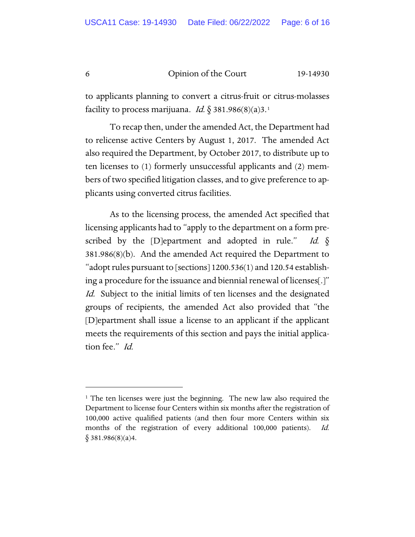to applicants planning to convert a citrus-fruit or citrus-molasses facility to process marijuana. *Id.*  $\S$  38[1](#page-5-0).986(8)(a)3.<sup>1</sup>

To recap then, under the amended Act, the Department had to relicense active Centers by August 1, 2017. The amended Act also required the Department, by October 2017, to distribute up to ten licenses to (1) formerly unsuccessful applicants and (2) members of two specified litigation classes, and to give preference to applicants using converted citrus facilities.

As to the licensing process, the amended Act specified that licensing applicants had to "apply to the department on a form prescribed by the [D]epartment and adopted in rule." Id.  $\S$ 381.986(8)(b). And the amended Act required the Department to "adopt rules pursuant to [sections]  $1200.536(1)$  and  $120.54$  establishing a procedure for the issuance and biennial renewal of licenses[.]" Id. Subject to the initial limits of ten licenses and the designated groups of recipients, the amended Act also provided that "the [D]epartment shall issue a license to an applicant if the applicant meets the requirements of this section and pays the initial application fee." Id.

<span id="page-5-0"></span><sup>&</sup>lt;sup>1</sup> The ten licenses were just the beginning. The new law also required the Department to license four Centers within six months after the registration of 100,000 active qualified patients (and then four more Centers within six months of the registration of every additional 100,000 patients). Id.  $§$  381.986(8)(a)4.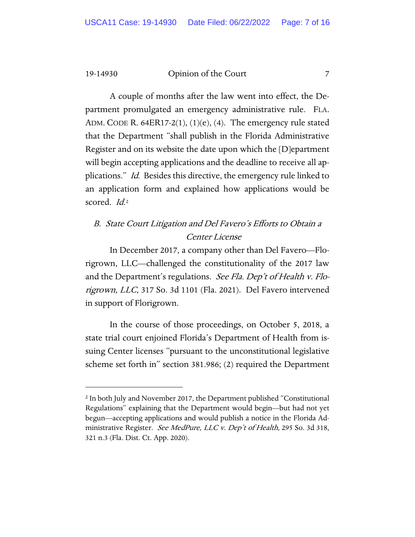A couple of months after the law went into effect, the Department promulgated an emergency administrative rule. FLA. ADM. CODE R. 64ER17-2(1),  $(1)(e)$ ,  $(4)$ . The emergency rule stated that the Department "shall publish in the Florida Administrative Register and on its website the date upon which the [D]epartment will begin accepting applications and the deadline to receive all applications." Id. Besides this directive, the emergency rule linked to an application form and explained how applications would be scored. *Id.*<sup>[2](#page-6-0)</sup>

### B. State Court Litigation and Del Favero's Efforts to Obtain a Center License

In December 2017, a company other than Del Favero—Florigrown, LLC—challenged the constitutionality of the 2017 law and the Department's regulations. See Fla. Dep't of Health v. Florigrown, LLC, 317 So. 3d 1101 (Fla. 2021). Del Favero intervened in support of Florigrown.

In the course of those proceedings, on October 5, 2018, a state trial court enjoined Florida's Department of Health from issuing Center licenses "pursuant to the unconstitutional legislative scheme set forth in" section 381.986; (2) required the Department

<span id="page-6-0"></span><sup>2</sup> In both July and November 2017, the Department published "Constitutional Regulations" explaining that the Department would begin—but had not yet begun—accepting applications and would publish a notice in the Florida Administrative Register. See MedPure, LLC v. Dep't of Health, 295 So. 3d 318, 321 n.3 (Fla. Dist. Ct. App. 2020).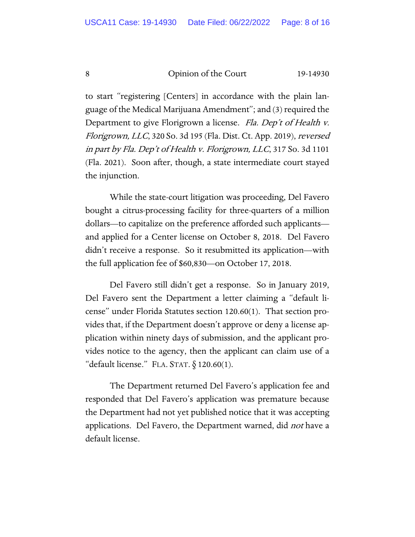to start "registering [Centers] in accordance with the plain language of the Medical Marijuana Amendment"; and (3) required the Department to give Florigrown a license. Fla. Dep't of Health v. Florigrown, LLC, 320 So. 3d 195 (Fla. Dist. Ct. App. 2019), reversed in part by Fla. Dep't of Health v. Florigrown, LLC, 317 So. 3d 1101 (Fla. 2021). Soon after, though, a state intermediate court stayed the injunction.

While the state-court litigation was proceeding, Del Favero bought a citrus-processing facility for three-quarters of a million dollars—to capitalize on the preference afforded such applicants and applied for a Center license on October 8, 2018. Del Favero didn't receive a response. So it resubmitted its application—with the full application fee of \$60,830—on October 17, 2018.

Del Favero still didn't get a response. So in January 2019, Del Favero sent the Department a letter claiming a "default license" under Florida Statutes section 120.60(1). That section provides that, if the Department doesn't approve or deny a license application within ninety days of submission, and the applicant provides notice to the agency, then the applicant can claim use of a "default license." FLA. STAT.  $\S$  120.60(1).

The Department returned Del Favero's application fee and responded that Del Favero's application was premature because the Department had not yet published notice that it was accepting applications. Del Favero, the Department warned, did *not* have a default license.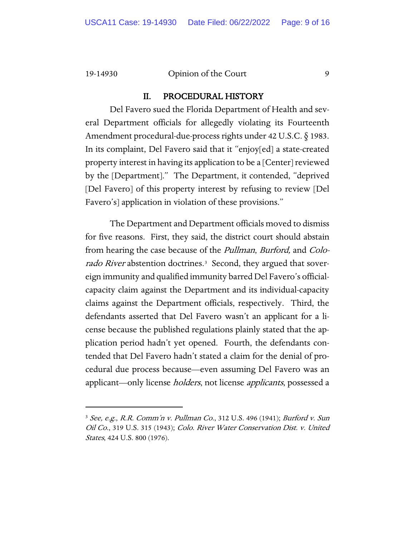#### II. PROCEDURAL HISTORY

Del Favero sued the Florida Department of Health and several Department officials for allegedly violating its Fourteenth Amendment procedural-due-process rights under 42 U.S.C. § 1983. In its complaint, Del Favero said that it "enjoy[ed] a state-created property interest in having its application to be a [Center] reviewed by the [Department]." The Department, it contended, "deprived [Del Favero] of this property interest by refusing to review [Del Favero's] application in violation of these provisions."

The Department and Department officials moved to dismiss for five reasons. First, they said, the district court should abstain from hearing the case because of the Pullman, Burford, and Colorado River abstention doctrines.<sup>3</sup> Second, they argued that sovereign immunity and qualified immunity barred Del Favero's officialcapacity claim against the Department and its individual-capacity claims against the Department officials, respectively. Third, the defendants asserted that Del Favero wasn't an applicant for a license because the published regulations plainly stated that the application period hadn't yet opened. Fourth, the defendants contended that Del Favero hadn't stated a claim for the denial of procedural due process because—even assuming Del Favero was an applicant—only license *holders*, not license *applicants*, possessed a

<span id="page-8-0"></span><sup>3</sup> See, e.g., R.R. Comm'n v. Pullman Co., 312 U.S. 496 (1941); Burford v. Sun Oil Co., 319 U.S. 315 (1943); Colo. River Water Conservation Dist. v. United States, 424 U.S. 800 (1976).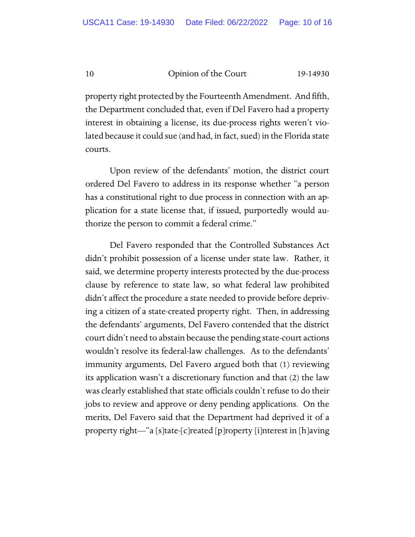property right protected by the Fourteenth Amendment. And fifth, the Department concluded that, even if Del Favero had a property interest in obtaining a license, its due-process rights weren't violated because it could sue (and had, in fact, sued) in the Florida state courts.

Upon review of the defendants' motion, the district court ordered Del Favero to address in its response whether "a person has a constitutional right to due process in connection with an application for a state license that, if issued, purportedly would authorize the person to commit a federal crime."

Del Favero responded that the Controlled Substances Act didn't prohibit possession of a license under state law. Rather, it said, we determine property interests protected by the due-process clause by reference to state law, so what federal law prohibited didn't affect the procedure a state needed to provide before depriving a citizen of a state-created property right. Then, in addressing the defendants' arguments, Del Favero contended that the district court didn't need to abstain because the pending state-court actions wouldn't resolve its federal-law challenges. As to the defendants' immunity arguments, Del Favero argued both that (1) reviewing its application wasn't a discretionary function and that (2) the law was clearly established that state officials couldn't refuse to do their jobs to review and approve or deny pending applications. On the merits, Del Favero said that the Department had deprived it of a property right—"a [s]tate-[c]reated [p]roperty [i]nterest in [h]aving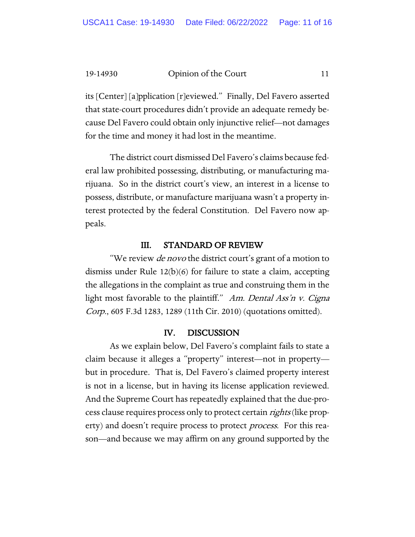its [Center] [a]pplication [r]eviewed." Finally, Del Favero asserted that state-court procedures didn't provide an adequate remedy because Del Favero could obtain only injunctive relief—not damages for the time and money it had lost in the meantime.

The district court dismissed Del Favero's claims because federal law prohibited possessing, distributing, or manufacturing marijuana. So in the district court's view, an interest in a license to possess, distribute, or manufacture marijuana wasn't a property interest protected by the federal Constitution. Del Favero now appeals.

#### III. STANDARD OF REVIEW

"We review *de novo* the district court's grant of a motion to dismiss under Rule 12(b)(6) for failure to state a claim, accepting the allegations in the complaint as true and construing them in the light most favorable to the plaintiff." Am. Dental Ass'n v. Cigna Corp., 605 F.3d 1283, 1289 (11th Cir. 2010) (quotations omitted).

#### IV. DISCUSSION

As we explain below, Del Favero's complaint fails to state a claim because it alleges a "property" interest—not in property but in procedure. That is, Del Favero's claimed property interest is not in a license, but in having its license application reviewed. And the Supreme Court has repeatedly explained that the due-process clause requires process only to protect certain *rights* (like property) and doesn't require process to protect *process*. For this reason—and because we may affirm on any ground supported by the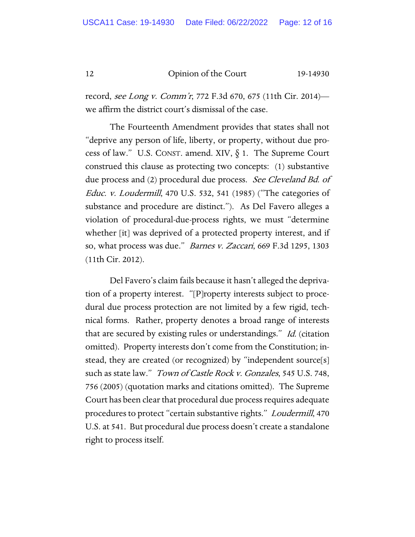record, see Long v. Comm'r, 772 F.3d 670, 675 (11th Cir. 2014) we affirm the district court's dismissal of the case.

The Fourteenth Amendment provides that states shall not "deprive any person of life, liberty, or property, without due process of law." U.S. CONST. amend. XIV,  $\S$  1. The Supreme Court construed this clause as protecting two concepts: (1) substantive due process and (2) procedural due process. See Cleveland Bd. of Educ. v. Loudermill, 470 U.S. 532, 541 (1985) ("The categories of substance and procedure are distinct."). As Del Favero alleges a violation of procedural-due-process rights, we must "determine whether [it] was deprived of a protected property interest, and if so, what process was due." Barnes v. Zaccari, 669 F.3d 1295, 1303 (11th Cir. 2012).

Del Favero's claim fails because it hasn't alleged the deprivation of a property interest. "[P]roperty interests subject to procedural due process protection are not limited by a few rigid, technical forms. Rather, property denotes a broad range of interests that are secured by existing rules or understandings." *Id.* (citation omitted). Property interests don't come from the Constitution; instead, they are created (or recognized) by "independent source[s] such as state law." Town of Castle Rock v. Gonzales, 545 U.S. 748, 756 (2005) (quotation marks and citations omitted). The Supreme Court has been clear that procedural due process requires adequate procedures to protect "certain substantive rights." Loudermill, 470 U.S. at 541. But procedural due process doesn't create a standalone right to process itself.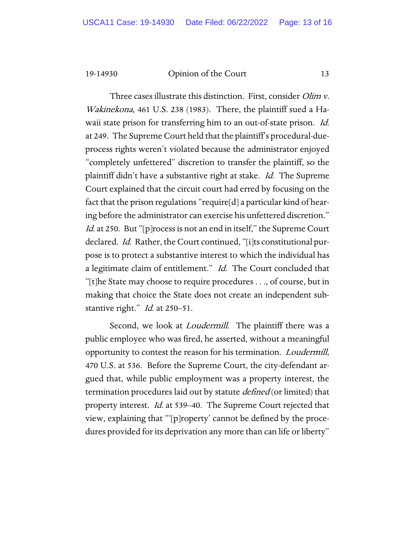Three cases illustrate this distinction. First, consider *Olim v*. Wakinekona, 461 U.S. 238 (1983). There, the plaintiff sued a Hawaii state prison for transferring him to an out-of-state prison. *Id.* at 249. The Supreme Court held that the plaintiff's procedural-dueprocess rights weren't violated because the administrator enjoyed "completely unfettered" discretion to transfer the plaintiff, so the plaintiff didn't have a substantive right at stake. Id. The Supreme Court explained that the circuit court had erred by focusing on the fact that the prison regulations "require[d] a particular kind of hearing before the administrator can exercise his unfettered discretion." Id. at 250. But "[p]rocess is not an end in itself," the Supreme Court declared. Id. Rather, the Court continued, "[i]ts constitutional purpose is to protect a substantive interest to which the individual has a legitimate claim of entitlement." Id. The Court concluded that "[t]he State may choose to require procedures . . ., of course, but in making that choice the State does not create an independent substantive right." *Id.* at 250-51.

Second, we look at *Loudermill*. The plaintiff there was a public employee who was fired, he asserted, without a meaningful opportunity to contest the reason for his termination. Loudermill, 470 U.S. at 536. Before the Supreme Court, the city-defendant argued that, while public employment was a property interest, the termination procedures laid out by statute *defined* (or limited) that property interest. Id. at 539–40. The Supreme Court rejected that view, explaining that "'[p]roperty' cannot be defined by the procedures provided for its deprivation any more than can life or liberty"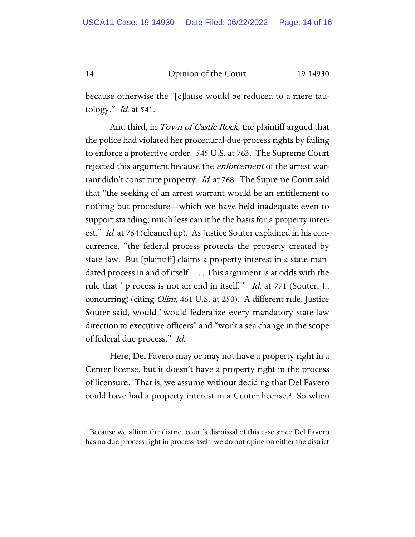because otherwise the "[c]lause would be reduced to a mere tautology." Id. at 541.

And third, in *Town of Castle Rock*, the plaintiff argued that the police had violated her procedural-due-process rights by failing to enforce a protective order. 545 U.S. at 763. The Supreme Court rejected this argument because the *enforcement* of the arrest warrant didn't constitute property. *Id.* at 768. The Supreme Court said that "the seeking of an arrest warrant would be an entitlement to nothing but procedure—which we have held inadequate even to support standing; much less can it be the basis for a property interest." Id. at 764 (cleaned up). As Justice Souter explained in his concurrence, "the federal process protects the property created by state law. But [plaintiff] claims a property interest in a state-mandated process in and of itself . . . . This argument is at odds with the rule that '[p]rocess is not an end in itself.'" Id. at 771 (Souter, J., concurring) (citing Olim, 461 U.S. at 250). A different rule, Justice Souter said, would "would federalize every mandatory state-law direction to executive officers" and "work a sea change in the scope of federal due process." Id.

Here, Del Favero may or may not have a property right in a Center license, but it doesn't have a property right in the process of licensure. That is, we assume without deciding that Del Favero could have had a property interest in a Center license[.4](#page-13-0) So when

<span id="page-13-0"></span><sup>4</sup> Because we affirm the district court's dismissal of this case since Del Favero has no due-process right in process itself, we do not opine on either the district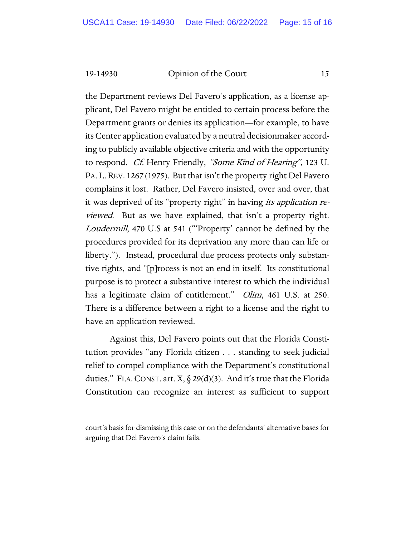the Department reviews Del Favero's application, as a license applicant, Del Favero might be entitled to certain process before the Department grants or denies its application—for example, to have its Center application evaluated by a neutral decisionmaker according to publicly available objective criteria and with the opportunity to respond. Cf. Henry Friendly, "Some Kind of Hearing", 123 U. PA. L.REV. 1267 (1975). But that isn't the property right Del Favero complains it lost. Rather, Del Favero insisted, over and over, that it was deprived of its "property right" in having *its application re*viewed. But as we have explained, that isn't a property right. Loudermill, 470 U.S at 541 ("'Property' cannot be defined by the procedures provided for its deprivation any more than can life or liberty."). Instead, procedural due process protects only substantive rights, and "[p]rocess is not an end in itself. Its constitutional purpose is to protect a substantive interest to which the individual has a legitimate claim of entitlement." *Olim*, 461 U.S. at 250. There is a difference between a right to a license and the right to have an application reviewed.

Against this, Del Favero points out that the Florida Constitution provides "any Florida citizen . . . standing to seek judicial relief to compel compliance with the Department's constitutional duties." FLA. CONST. art.  $X, \S 29(d)(3)$ . And it's true that the Florida Constitution can recognize an interest as sufficient to support

court's basis for dismissing this case or on the defendants' alternative bases for arguing that Del Favero's claim fails.